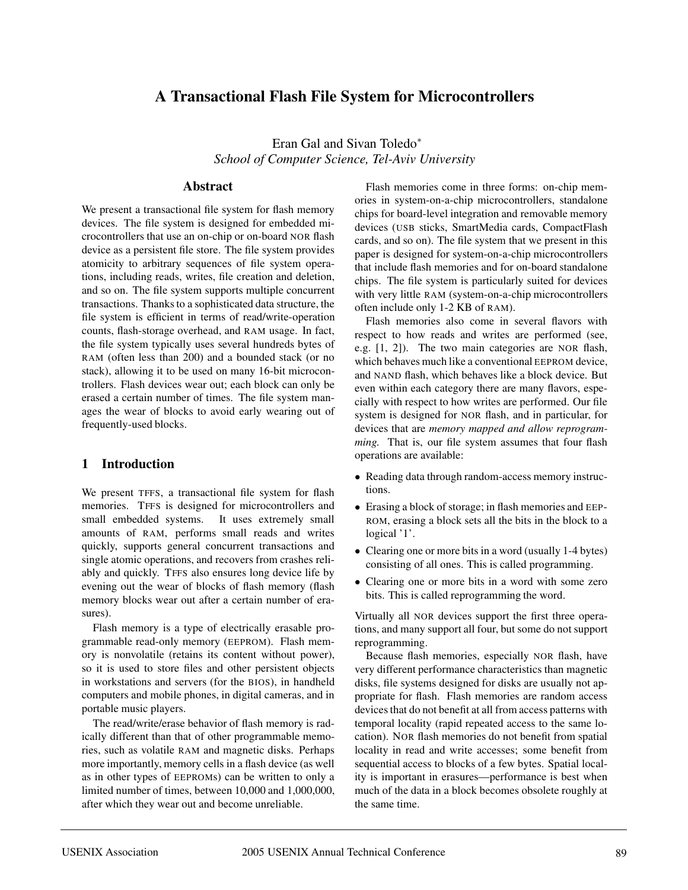# **A Transactional Flash File System for Microcontrollers**

Eran Gal and Sivan Toledo<sup>∗</sup> *School of Computer Science, Tel-Aviv University*

#### **Abstract**

We present a transactional file system for flash memory devices. The file system is designed for embedded microcontrollers that use an on-chip or on-board NOR flash device as a persistent file store. The file system provides atomicity to arbitrary sequences of file system operations, including reads, writes, file creation and deletion, and so on. The file system supports multiple concurrent transactions. Thanks to a sophisticated data structure, the file system is efficient in terms of read/write-operation counts, flash-storage overhead, and RAM usage. In fact, the file system typically uses several hundreds bytes of RAM (often less than 200) and a bounded stack (or no stack), allowing it to be used on many 16-bit microcontrollers. Flash devices wear out; each block can only be erased a certain number of times. The file system manages the wear of blocks to avoid early wearing out of frequently-used blocks.

#### **1 Introduction**

We present TFFS, a transactional file system for flash memories. TFFS is designed for microcontrollers and small embedded systems. It uses extremely small amounts of RAM, performs small reads and writes quickly, supports general concurrent transactions and single atomic operations, and recovers from crashes reliably and quickly. TFFS also ensures long device life by evening out the wear of blocks of flash memory (flash memory blocks wear out after a certain number of erasures).

Flash memory is a type of electrically erasable programmable read-only memory (EEPROM). Flash memory is nonvolatile (retains its content without power), so it is used to store files and other persistent objects in workstations and servers (for the BIOS), in handheld computers and mobile phones, in digital cameras, and in portable music players.

The read/write/erase behavior of flash memory is radically different than that of other programmable memories, such as volatile RAM and magnetic disks. Perhaps more importantly, memory cells in a flash device (as well as in other types of EEPROMs) can be written to only a limited number of times, between 10,000 and 1,000,000, after which they wear out and become unreliable.

Flash memories come in three forms: on-chip memories in system-on-a-chip microcontrollers, standalone chips for board-level integration and removable memory devices (USB sticks, SmartMedia cards, CompactFlash cards, and so on). The file system that we present in this paper is designed for system-on-a-chip microcontrollers that include flash memories and for on-board standalone chips. The file system is particularly suited for devices with very little RAM (system-on-a-chip microcontrollers often include only 1-2 KB of RAM).

Flash memories also come in several flavors with respect to how reads and writes are performed (see, e.g. [1, 2]). The two main categories are NOR flash, which behaves much like a conventional EEPROM device, and NAND flash, which behaves like a block device. But even within each category there are many flavors, especially with respect to how writes are performed. Our file system is designed for NOR flash, and in particular, for devices that are *memory mapped and allow reprogramming.* That is, our file system assumes that four flash operations are available:

- Reading data through random-access memory instructions.
- Erasing a block of storage; in flash memories and EEP-ROM, erasing a block sets all the bits in the block to a logical '1'.
- Clearing one or more bits in a word (usually 1-4 bytes) consisting of all ones. This is called programming.
- Clearing one or more bits in a word with some zero bits. This is called reprogramming the word.

Virtually all NOR devices support the first three operations, and many support all four, but some do not support reprogramming.

Because flash memories, especially NOR flash, have very different performance characteristics than magnetic disks, file systems designed for disks are usually not appropriate for flash. Flash memories are random access devices that do not benefit at all from access patterns with temporal locality (rapid repeated access to the same location). NOR flash memories do not benefit from spatial locality in read and write accesses; some benefit from sequential access to blocks of a few bytes. Spatial locality is important in erasures—performance is best when much of the data in a block becomes obsolete roughly at the same time.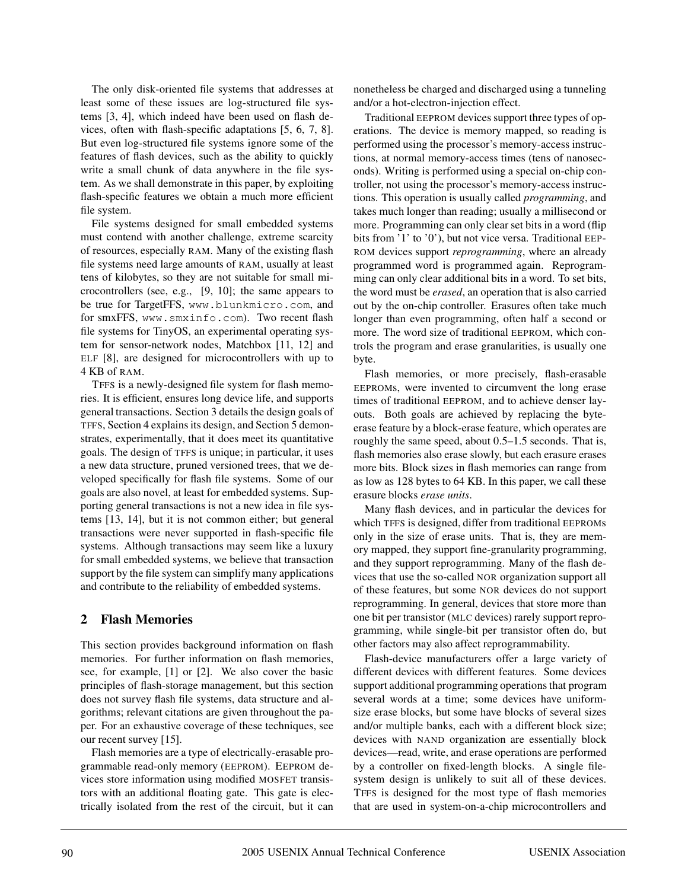The only disk-oriented file systems that addresses at least some of these issues are log-structured file systems [3, 4], which indeed have been used on flash devices, often with flash-specific adaptations [5, 6, 7, 8]. But even log-structured file systems ignore some of the features of flash devices, such as the ability to quickly write a small chunk of data anywhere in the file system. As we shall demonstrate in this paper, by exploiting flash-specific features we obtain a much more efficient file system.

File systems designed for small embedded systems must contend with another challenge, extreme scarcity of resources, especially RAM. Many of the existing flash file systems need large amounts of RAM, usually at least tens of kilobytes, so they are not suitable for small microcontrollers (see, e.g., [9, 10]; the same appears to be true for TargetFFS, www.blunkmicro.com, and for smxFFS, www.smxinfo.com). Two recent flash file systems for TinyOS, an experimental operating system for sensor-network nodes, Matchbox [11, 12] and ELF [8], are designed for microcontrollers with up to 4 KB of RAM.

TFFS is a newly-designed file system for flash memories. It is efficient, ensures long device life, and supports general transactions. Section 3 details the design goals of TFFS, Section 4 explains its design, and Section 5 demonstrates, experimentally, that it does meet its quantitative goals. The design of TFFS is unique; in particular, it uses a new data structure, pruned versioned trees, that we developed specifically for flash file systems. Some of our goals are also novel, at least for embedded systems. Supporting general transactions is not a new idea in file systems [13, 14], but it is not common either; but general transactions were never supported in flash-specific file systems. Although transactions may seem like a luxury for small embedded systems, we believe that transaction support by the file system can simplify many applications and contribute to the reliability of embedded systems.

### **2 Flash Memories**

This section provides background information on flash memories. For further information on flash memories, see, for example, [1] or [2]. We also cover the basic principles of flash-storage management, but this section does not survey flash file systems, data structure and algorithms; relevant citations are given throughout the paper. For an exhaustive coverage of these techniques, see our recent survey [15].

Flash memories are a type of electrically-erasable programmable read-only memory (EEPROM). EEPROM devices store information using modified MOSFET transistors with an additional floating gate. This gate is electrically isolated from the rest of the circuit, but it can nonetheless be charged and discharged using a tunneling and/or a hot-electron-injection effect.

Traditional EEPROM devices support three types of operations. The device is memory mapped, so reading is performed using the processor's memory-access instructions, at normal memory-access times (tens of nanoseconds). Writing is performed using a special on-chip controller, not using the processor's memory-access instructions. This operation is usually called *programming*, and takes much longer than reading; usually a millisecond or more. Programming can only clear set bits in a word (flip bits from '1' to '0'), but not vice versa. Traditional EEP-ROM devices support *reprogramming*, where an already programmed word is programmed again. Reprogramming can only clear additional bits in a word. To set bits, the word must be *erased*, an operation that is also carried out by the on-chip controller. Erasures often take much longer than even programming, often half a second or more. The word size of traditional EEPROM, which controls the program and erase granularities, is usually one byte.

Flash memories, or more precisely, flash-erasable EEPROMs, were invented to circumvent the long erase times of traditional EEPROM, and to achieve denser layouts. Both goals are achieved by replacing the byteerase feature by a block-erase feature, which operates are roughly the same speed, about 0.5–1.5 seconds. That is, flash memories also erase slowly, but each erasure erases more bits. Block sizes in flash memories can range from as low as 128 bytes to 64 KB. In this paper, we call these erasure blocks *erase units*.

Many flash devices, and in particular the devices for which TFFS is designed, differ from traditional EEPROMs only in the size of erase units. That is, they are memory mapped, they support fine-granularity programming, and they support reprogramming. Many of the flash devices that use the so-called NOR organization support all of these features, but some NOR devices do not support reprogramming. In general, devices that store more than one bit per transistor (MLC devices) rarely support reprogramming, while single-bit per transistor often do, but other factors may also affect reprogrammability.

Flash-device manufacturers offer a large variety of different devices with different features. Some devices support additional programming operations that program several words at a time; some devices have uniformsize erase blocks, but some have blocks of several sizes and/or multiple banks, each with a different block size; devices with NAND organization are essentially block devices—read, write, and erase operations are performed by a controller on fixed-length blocks. A single filesystem design is unlikely to suit all of these devices. TFFS is designed for the most type of flash memories that are used in system-on-a-chip microcontrollers and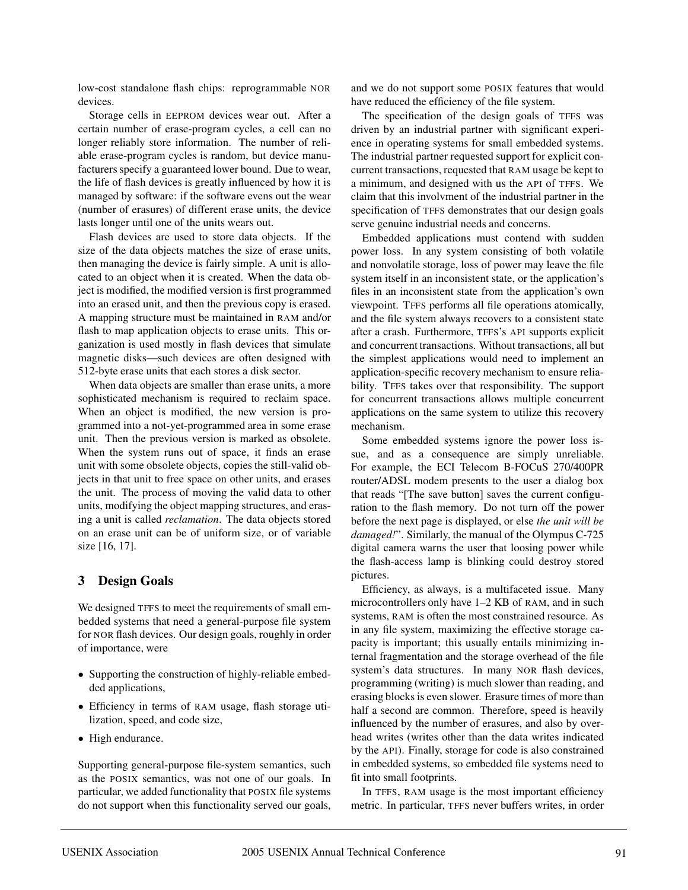low-cost standalone flash chips: reprogrammable NOR devices.

Storage cells in EEPROM devices wear out. After a certain number of erase-program cycles, a cell can no longer reliably store information. The number of reliable erase-program cycles is random, but device manufacturers specify a guaranteed lower bound. Due to wear, the life of flash devices is greatly influenced by how it is managed by software: if the software evens out the wear (number of erasures) of different erase units, the device lasts longer until one of the units wears out.

Flash devices are used to store data objects. If the size of the data objects matches the size of erase units, then managing the device is fairly simple. A unit is allocated to an object when it is created. When the data object is modified, the modified version is first programmed into an erased unit, and then the previous copy is erased. A mapping structure must be maintained in RAM and/or flash to map application objects to erase units. This organization is used mostly in flash devices that simulate magnetic disks—such devices are often designed with 512-byte erase units that each stores a disk sector.

When data objects are smaller than erase units, a more sophisticated mechanism is required to reclaim space. When an object is modified, the new version is programmed into a not-yet-programmed area in some erase unit. Then the previous version is marked as obsolete. When the system runs out of space, it finds an erase unit with some obsolete objects, copies the still-valid objects in that unit to free space on other units, and erases the unit. The process of moving the valid data to other units, modifying the object mapping structures, and erasing a unit is called *reclamation*. The data objects stored on an erase unit can be of uniform size, or of variable size [16, 17].

### **3 Design Goals**

We designed TFFS to meet the requirements of small embedded systems that need a general-purpose file system for NOR flash devices. Our design goals, roughly in order of importance, were

- Supporting the construction of highly-reliable embedded applications,
- Efficiency in terms of RAM usage, flash storage utilization, speed, and code size,
- High endurance.

Supporting general-purpose file-system semantics, such as the POSIX semantics, was not one of our goals. In particular, we added functionality that POSIX file systems do not support when this functionality served our goals, and we do not support some POSIX features that would have reduced the efficiency of the file system.

The specification of the design goals of TFFS was driven by an industrial partner with significant experience in operating systems for small embedded systems. The industrial partner requested support for explicit concurrent transactions, requested that RAM usage be kept to a minimum, and designed with us the API of TFFS. We claim that this involvment of the industrial partner in the specification of TFFS demonstrates that our design goals serve genuine industrial needs and concerns.

Embedded applications must contend with sudden power loss. In any system consisting of both volatile and nonvolatile storage, loss of power may leave the file system itself in an inconsistent state, or the application's files in an inconsistent state from the application's own viewpoint. TFFS performs all file operations atomically, and the file system always recovers to a consistent state after a crash. Furthermore, TFFS's API supports explicit and concurrent transactions. Without transactions, all but the simplest applications would need to implement an application-specific recovery mechanism to ensure reliability. TFFS takes over that responsibility. The support for concurrent transactions allows multiple concurrent applications on the same system to utilize this recovery mechanism.

Some embedded systems ignore the power loss issue, and as a consequence are simply unreliable. For example, the ECI Telecom B-FOCuS 270/400PR router/ADSL modem presents to the user a dialog box that reads "[The save button] saves the current configuration to the flash memory. Do not turn off the power before the next page is displayed, or else *the unit will be damaged!*". Similarly, the manual of the Olympus C-725 digital camera warns the user that loosing power while the flash-access lamp is blinking could destroy stored pictures.

Efficiency, as always, is a multifaceted issue. Many microcontrollers only have 1–2 KB of RAM, and in such systems, RAM is often the most constrained resource. As in any file system, maximizing the effective storage capacity is important; this usually entails minimizing internal fragmentation and the storage overhead of the file system's data structures. In many NOR flash devices, programming (writing) is much slower than reading, and erasing blocks is even slower. Erasure times of more than half a second are common. Therefore, speed is heavily influenced by the number of erasures, and also by overhead writes (writes other than the data writes indicated by the API). Finally, storage for code is also constrained in embedded systems, so embedded file systems need to fit into small footprints.

In TFFS, RAM usage is the most important efficiency metric. In particular, TFFS never buffers writes, in order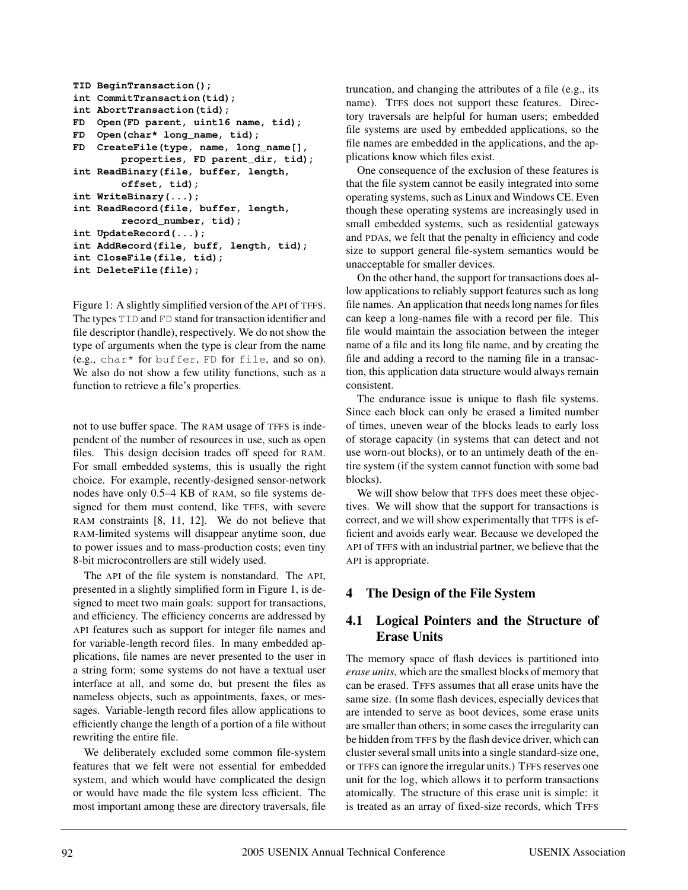```
TID BeginTransaction();
int CommitTransaction(tid);
int AbortTransaction(tid);
FD Open(FD parent, uint16 name, tid);
FD Open(char* long_name, tid);
FD CreateFile(type, name, long_name[],
        properties, FD parent_dir, tid);
int ReadBinary(file, buffer, length,
        offset, tid);
int WriteBinary(...);
int ReadRecord(file, buffer, length,
        record_number, tid);
int UpdateRecord(...);
int AddRecord(file, buff, length, tid);
int CloseFile(file, tid);
int DeleteFile(file);
```
Figure 1: A slightly simplified version of the API of TFFS. The types TID and FD stand for transaction identifier and file descriptor (handle), respectively. We do not show the type of arguments when the type is clear from the name (e.g., char\* for buffer, FD for file, and so on). We also do not show a few utility functions, such as a function to retrieve a file's properties.

not to use buffer space. The RAM usage of TFFS is independent of the number of resources in use, such as open files. This design decision trades off speed for RAM. For small embedded systems, this is usually the right choice. For example, recently-designed sensor-network nodes have only 0.5–4 KB of RAM, so file systems designed for them must contend, like TFFS, with severe RAM constraints [8, 11, 12]. We do not believe that RAM-limited systems will disappear anytime soon, due to power issues and to mass-production costs; even tiny 8-bit microcontrollers are still widely used.

The API of the file system is nonstandard. The API, presented in a slightly simplified form in Figure 1, is designed to meet two main goals: support for transactions, and efficiency. The efficiency concerns are addressed by API features such as support for integer file names and for variable-length record files. In many embedded applications, file names are never presented to the user in a string form; some systems do not have a textual user interface at all, and some do, but present the files as nameless objects, such as appointments, faxes, or messages. Variable-length record files allow applications to efficiently change the length of a portion of a file without rewriting the entire file.

We deliberately excluded some common file-system features that we felt were not essential for embedded system, and which would have complicated the design or would have made the file system less efficient. The most important among these are directory traversals, file truncation, and changing the attributes of a file (e.g., its name). TFFS does not support these features. Directory traversals are helpful for human users; embedded file systems are used by embedded applications, so the file names are embedded in the applications, and the applications know which files exist.

One consequence of the exclusion of these features is that the file system cannot be easily integrated into some operating systems, such as Linux and Windows CE. Even though these operating systems are increasingly used in small embedded systems, such as residential gateways and PDAs, we felt that the penalty in efficiency and code size to support general file-system semantics would be unacceptable for smaller devices.

On the other hand, the support for transactions does allow applications to reliably support features such as long file names. An application that needs long names for files can keep a long-names file with a record per file. This file would maintain the association between the integer name of a file and its long file name, and by creating the file and adding a record to the naming file in a transaction, this application data structure would always remain consistent.

The endurance issue is unique to flash file systems. Since each block can only be erased a limited number of times, uneven wear of the blocks leads to early loss of storage capacity (in systems that can detect and not use worn-out blocks), or to an untimely death of the entire system (if the system cannot function with some bad blocks).

We will show below that TFFS does meet these objectives. We will show that the support for transactions is correct, and we will show experimentally that TFFS is efficient and avoids early wear. Because we developed the API of TFFS with an industrial partner, we believe that the API is appropriate.

# **4 The Design of the File System**

# **4.1 Logical Pointers and the Structure of Erase Units**

The memory space of flash devices is partitioned into *erase units*, which are the smallest blocks of memory that can be erased. TFFS assumes that all erase units have the same size. (In some flash devices, especially devices that are intended to serve as boot devices, some erase units are smaller than others; in some cases the irregularity can be hidden from TFFS by the flash device driver, which can cluster several small units into a single standard-size one, or TFFS can ignore the irregular units.) TFFS reserves one unit for the log, which allows it to perform transactions atomically. The structure of this erase unit is simple: it is treated as an array of fixed-size records, which TFFS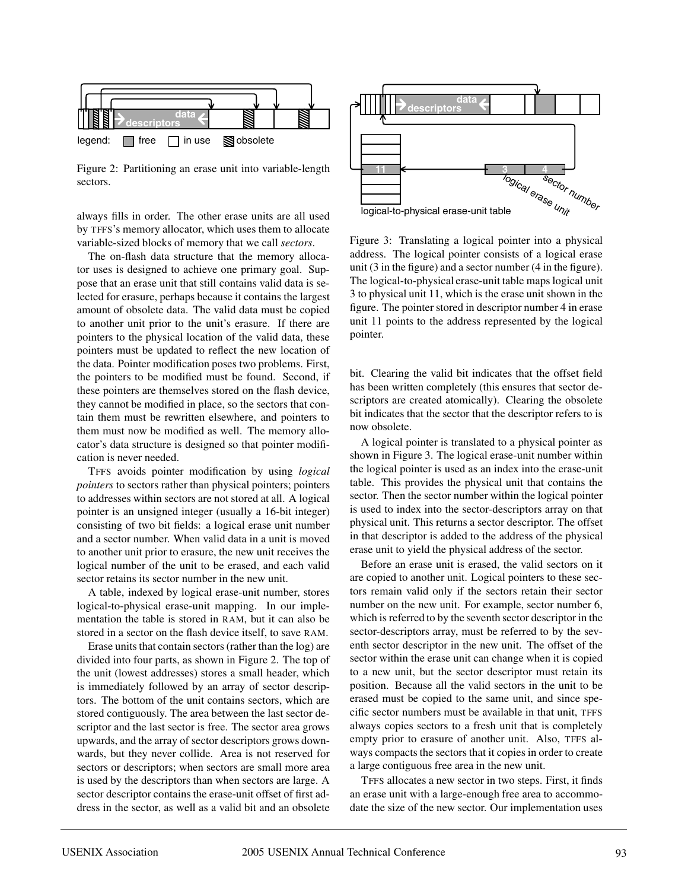

Figure 2: Partitioning an erase unit into variable-length sectors.

always fills in order. The other erase units are all used by TFFS's memory allocator, which uses them to allocate variable-sized blocks of memory that we call *sectors*.

The on-flash data structure that the memory allocator uses is designed to achieve one primary goal. Suppose that an erase unit that still contains valid data is selected for erasure, perhaps because it contains the largest amount of obsolete data. The valid data must be copied to another unit prior to the unit's erasure. If there are pointers to the physical location of the valid data, these pointers must be updated to reflect the new location of the data. Pointer modification poses two problems. First, the pointers to be modified must be found. Second, if these pointers are themselves stored on the flash device, they cannot be modified in place, so the sectors that contain them must be rewritten elsewhere, and pointers to them must now be modified as well. The memory allocator's data structure is designed so that pointer modification is never needed.

TFFS avoids pointer modification by using *logical pointers* to sectors rather than physical pointers; pointers to addresses within sectors are not stored at all. A logical pointer is an unsigned integer (usually a 16-bit integer) consisting of two bit fields: a logical erase unit number and a sector number. When valid data in a unit is moved to another unit prior to erasure, the new unit receives the logical number of the unit to be erased, and each valid sector retains its sector number in the new unit.

A table, indexed by logical erase-unit number, stores logical-to-physical erase-unit mapping. In our implementation the table is stored in RAM, but it can also be stored in a sector on the flash device itself, to save RAM.

Erase units that contain sectors (rather than the log) are divided into four parts, as shown in Figure 2. The top of the unit (lowest addresses) stores a small header, which is immediately followed by an array of sector descriptors. The bottom of the unit contains sectors, which are stored contiguously. The area between the last sector descriptor and the last sector is free. The sector area grows upwards, and the array of sector descriptors grows downwards, but they never collide. Area is not reserved for sectors or descriptors; when sectors are small more area is used by the descriptors than when sectors are large. A sector descriptor contains the erase-unit offset of first address in the sector, as well as a valid bit and an obsolete



Figure 3: Translating a logical pointer into a physical address. The logical pointer consists of a logical erase unit (3 in the figure) and a sector number (4 in the figure). The logical-to-physical erase-unit table maps logical unit 3 to physical unit 11, which is the erase unit shown in the figure. The pointer stored in descriptor number 4 in erase unit 11 points to the address represented by the logical pointer.

bit. Clearing the valid bit indicates that the offset field has been written completely (this ensures that sector descriptors are created atomically). Clearing the obsolete bit indicates that the sector that the descriptor refers to is now obsolete.

A logical pointer is translated to a physical pointer as shown in Figure 3. The logical erase-unit number within the logical pointer is used as an index into the erase-unit table. This provides the physical unit that contains the sector. Then the sector number within the logical pointer is used to index into the sector-descriptors array on that physical unit. This returns a sector descriptor. The offset in that descriptor is added to the address of the physical erase unit to yield the physical address of the sector.

Before an erase unit is erased, the valid sectors on it are copied to another unit. Logical pointers to these sectors remain valid only if the sectors retain their sector number on the new unit. For example, sector number 6, which is referred to by the seventh sector descriptor in the sector-descriptors array, must be referred to by the seventh sector descriptor in the new unit. The offset of the sector within the erase unit can change when it is copied to a new unit, but the sector descriptor must retain its position. Because all the valid sectors in the unit to be erased must be copied to the same unit, and since specific sector numbers must be available in that unit, TFFS always copies sectors to a fresh unit that is completely empty prior to erasure of another unit. Also, TFFS always compacts the sectors that it copies in order to create a large contiguous free area in the new unit.

TFFS allocates a new sector in two steps. First, it finds an erase unit with a large-enough free area to accommodate the size of the new sector. Our implementation uses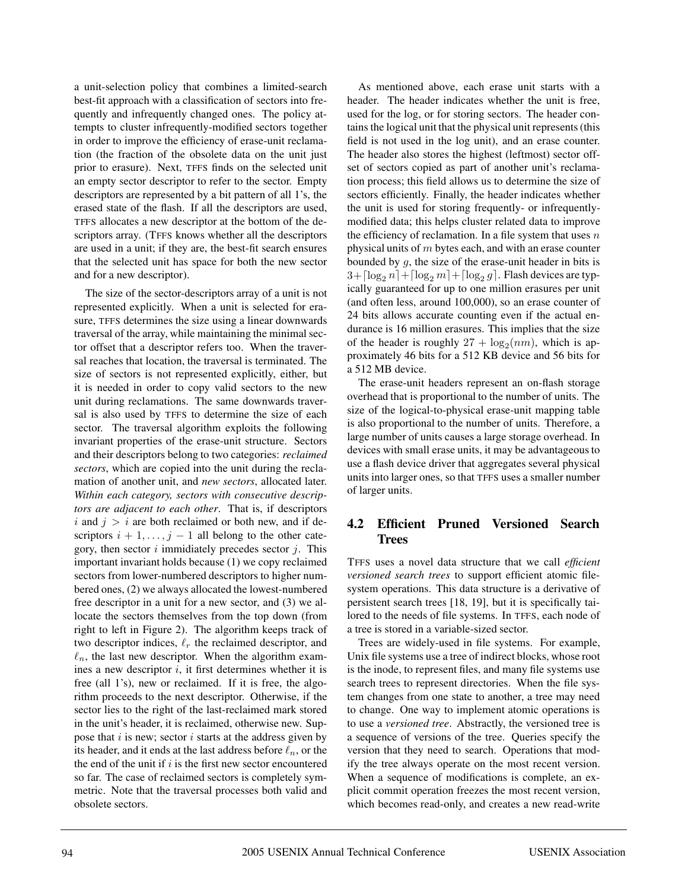a unit-selection policy that combines a limited-search best-fit approach with a classification of sectors into frequently and infrequently changed ones. The policy attempts to cluster infrequently-modified sectors together in order to improve the efficiency of erase-unit reclamation (the fraction of the obsolete data on the unit just prior to erasure). Next, TFFS finds on the selected unit an empty sector descriptor to refer to the sector. Empty descriptors are represented by a bit pattern of all 1's, the erased state of the flash. If all the descriptors are used, TFFS allocates a new descriptor at the bottom of the descriptors array. (TFFS knows whether all the descriptors are used in a unit; if they are, the best-fit search ensures that the selected unit has space for both the new sector and for a new descriptor).

The size of the sector-descriptors array of a unit is not represented explicitly. When a unit is selected for erasure, TFFS determines the size using a linear downwards traversal of the array, while maintaining the minimal sector offset that a descriptor refers too. When the traversal reaches that location, the traversal is terminated. The size of sectors is not represented explicitly, either, but it is needed in order to copy valid sectors to the new unit during reclamations. The same downwards traversal is also used by TFFS to determine the size of each sector. The traversal algorithm exploits the following invariant properties of the erase-unit structure. Sectors and their descriptors belong to two categories: *reclaimed sectors*, which are copied into the unit during the reclamation of another unit, and *new sectors*, allocated later. *Within each category, sectors with consecutive descriptors are adjacent to each other*. That is, if descriptors i and  $j>i$  are both reclaimed or both new, and if descriptors  $i + 1, \ldots, j - 1$  all belong to the other category, then sector  $i$  immidiately precedes sector  $j$ . This important invariant holds because (1) we copy reclaimed sectors from lower-numbered descriptors to higher numbered ones, (2) we always allocated the lowest-numbered free descriptor in a unit for a new sector, and (3) we allocate the sectors themselves from the top down (from right to left in Figure 2). The algorithm keeps track of two descriptor indices,  $\ell_r$  the reclaimed descriptor, and  $\ell_n$ , the last new descriptor. When the algorithm examines a new descriptor  $i$ , it first determines whether it is free (all 1's), new or reclaimed. If it is free, the algorithm proceeds to the next descriptor. Otherwise, if the sector lies to the right of the last-reclaimed mark stored in the unit's header, it is reclaimed, otherwise new. Suppose that  $i$  is new; sector  $i$  starts at the address given by its header, and it ends at the last address before  $\ell_n$ , or the the end of the unit if  $i$  is the first new sector encountered so far. The case of reclaimed sectors is completely symmetric. Note that the traversal processes both valid and obsolete sectors.

As mentioned above, each erase unit starts with a header. The header indicates whether the unit is free, used for the log, or for storing sectors. The header contains the logical unit that the physical unit represents (this field is not used in the log unit), and an erase counter. The header also stores the highest (leftmost) sector offset of sectors copied as part of another unit's reclamation process; this field allows us to determine the size of sectors efficiently. Finally, the header indicates whether the unit is used for storing frequently- or infrequentlymodified data; this helps cluster related data to improve the efficiency of reclamation. In a file system that uses  $n$ physical units of m bytes each, and with an erase counter bounded by  $g$ , the size of the erase-unit header in bits is  $3 + \lceil \log_2 n \rceil + \lceil \log_2 g \rceil$ . Flash devices are typically guaranteed for up to one million erasures per unit (and often less, around 100,000), so an erase counter of 24 bits allows accurate counting even if the actual endurance is 16 million erasures. This implies that the size of the header is roughly  $27 + \log_2(nm)$ , which is approximately 46 bits for a 512 KB device and 56 bits for a 512 MB device.

The erase-unit headers represent an on-flash storage overhead that is proportional to the number of units. The size of the logical-to-physical erase-unit mapping table is also proportional to the number of units. Therefore, a large number of units causes a large storage overhead. In devices with small erase units, it may be advantageous to use a flash device driver that aggregates several physical units into larger ones, so that TFFS uses a smaller number of larger units.

# **4.2 Efficient Pruned Versioned Search Trees**

TFFS uses a novel data structure that we call *efficient versioned search trees* to support efficient atomic filesystem operations. This data structure is a derivative of persistent search trees [18, 19], but it is specifically tailored to the needs of file systems. In TFFS, each node of a tree is stored in a variable-sized sector.

Trees are widely-used in file systems. For example, Unix file systems use a tree of indirect blocks, whose root is the inode, to represent files, and many file systems use search trees to represent directories. When the file system changes from one state to another, a tree may need to change. One way to implement atomic operations is to use a *versioned tree*. Abstractly, the versioned tree is a sequence of versions of the tree. Queries specify the version that they need to search. Operations that modify the tree always operate on the most recent version. When a sequence of modifications is complete, an explicit commit operation freezes the most recent version, which becomes read-only, and creates a new read-write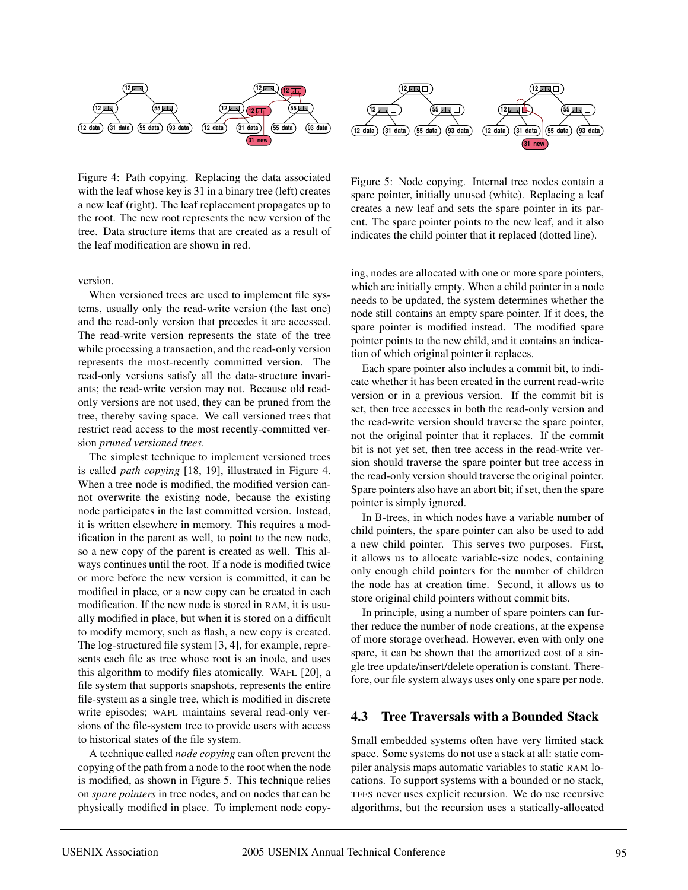

Figure 4: Path copying. Replacing the data associated with the leaf whose key is 31 in a binary tree (left) creates a new leaf (right). The leaf replacement propagates up to the root. The new root represents the new version of the tree. Data structure items that are created as a result of the leaf modification are shown in red.

version.

When versioned trees are used to implement file systems, usually only the read-write version (the last one) and the read-only version that precedes it are accessed. The read-write version represents the state of the tree while processing a transaction, and the read-only version represents the most-recently committed version. The read-only versions satisfy all the data-structure invariants; the read-write version may not. Because old readonly versions are not used, they can be pruned from the tree, thereby saving space. We call versioned trees that restrict read access to the most recently-committed version *pruned versioned trees*.

The simplest technique to implement versioned trees is called *path copying* [18, 19], illustrated in Figure 4. When a tree node is modified, the modified version cannot overwrite the existing node, because the existing node participates in the last committed version. Instead, it is written elsewhere in memory. This requires a modification in the parent as well, to point to the new node, so a new copy of the parent is created as well. This always continues until the root. If a node is modified twice or more before the new version is committed, it can be modified in place, or a new copy can be created in each modification. If the new node is stored in RAM, it is usually modified in place, but when it is stored on a difficult to modify memory, such as flash, a new copy is created. The log-structured file system [3, 4], for example, represents each file as tree whose root is an inode, and uses this algorithm to modify files atomically. WAFL [20], a file system that supports snapshots, represents the entire file-system as a single tree, which is modified in discrete write episodes; WAFL maintains several read-only versions of the file-system tree to provide users with access to historical states of the file system.

A technique called *node copying* can often prevent the copying of the path from a node to the root when the node is modified, as shown in Figure 5. This technique relies on *spare pointers* in tree nodes, and on nodes that can be physically modified in place. To implement node copy-



Figure 5: Node copying. Internal tree nodes contain a spare pointer, initially unused (white). Replacing a leaf creates a new leaf and sets the spare pointer in its parent. The spare pointer points to the new leaf, and it also indicates the child pointer that it replaced (dotted line).

ing, nodes are allocated with one or more spare pointers, which are initially empty. When a child pointer in a node needs to be updated, the system determines whether the node still contains an empty spare pointer. If it does, the spare pointer is modified instead. The modified spare pointer points to the new child, and it contains an indication of which original pointer it replaces.

Each spare pointer also includes a commit bit, to indicate whether it has been created in the current read-write version or in a previous version. If the commit bit is set, then tree accesses in both the read-only version and the read-write version should traverse the spare pointer, not the original pointer that it replaces. If the commit bit is not yet set, then tree access in the read-write version should traverse the spare pointer but tree access in the read-only version should traverse the original pointer. Spare pointers also have an abort bit; if set, then the spare pointer is simply ignored.

In B-trees, in which nodes have a variable number of child pointers, the spare pointer can also be used to add a new child pointer. This serves two purposes. First, it allows us to allocate variable-size nodes, containing only enough child pointers for the number of children the node has at creation time. Second, it allows us to store original child pointers without commit bits.

In principle, using a number of spare pointers can further reduce the number of node creations, at the expense of more storage overhead. However, even with only one spare, it can be shown that the amortized cost of a single tree update/insert/delete operation is constant. Therefore, our file system always uses only one spare per node.

### **4.3 Tree Traversals with a Bounded Stack**

Small embedded systems often have very limited stack space. Some systems do not use a stack at all: static compiler analysis maps automatic variables to static RAM locations. To support systems with a bounded or no stack, TFFS never uses explicit recursion. We do use recursive algorithms, but the recursion uses a statically-allocated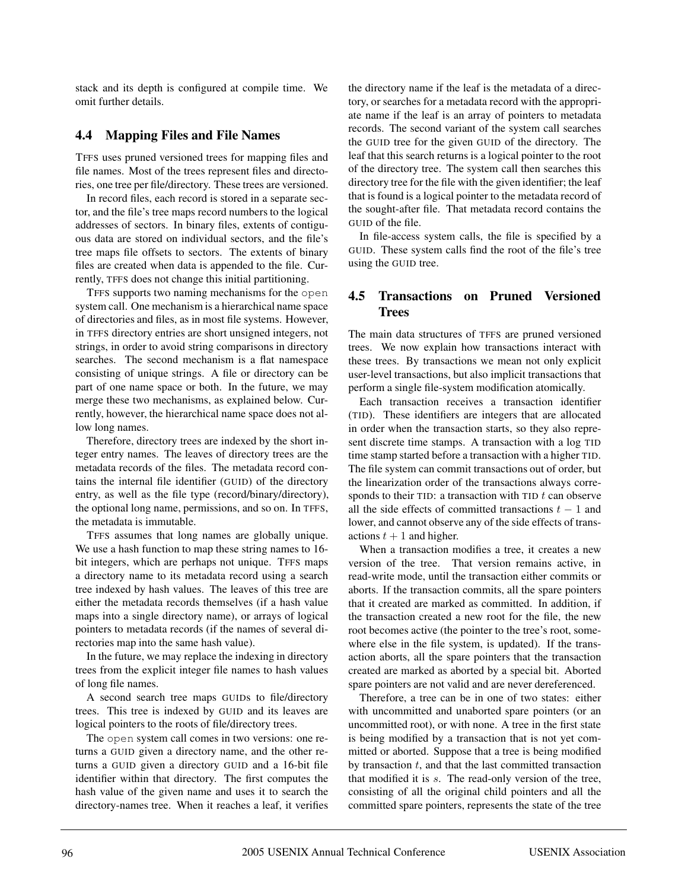stack and its depth is configured at compile time. We omit further details.

## **4.4 Mapping Files and File Names**

TFFS uses pruned versioned trees for mapping files and file names. Most of the trees represent files and directories, one tree per file/directory. These trees are versioned.

In record files, each record is stored in a separate sector, and the file's tree maps record numbers to the logical addresses of sectors. In binary files, extents of contiguous data are stored on individual sectors, and the file's tree maps file offsets to sectors. The extents of binary files are created when data is appended to the file. Currently, TFFS does not change this initial partitioning.

TFFS supports two naming mechanisms for the open system call. One mechanism is a hierarchical name space of directories and files, as in most file systems. However, in TFFS directory entries are short unsigned integers, not strings, in order to avoid string comparisons in directory searches. The second mechanism is a flat namespace consisting of unique strings. A file or directory can be part of one name space or both. In the future, we may merge these two mechanisms, as explained below. Currently, however, the hierarchical name space does not allow long names.

Therefore, directory trees are indexed by the short integer entry names. The leaves of directory trees are the metadata records of the files. The metadata record contains the internal file identifier (GUID) of the directory entry, as well as the file type (record/binary/directory), the optional long name, permissions, and so on. In TFFS, the metadata is immutable.

TFFS assumes that long names are globally unique. We use a hash function to map these string names to 16 bit integers, which are perhaps not unique. TFFS maps a directory name to its metadata record using a search tree indexed by hash values. The leaves of this tree are either the metadata records themselves (if a hash value maps into a single directory name), or arrays of logical pointers to metadata records (if the names of several directories map into the same hash value).

In the future, we may replace the indexing in directory trees from the explicit integer file names to hash values of long file names.

A second search tree maps GUIDs to file/directory trees. This tree is indexed by GUID and its leaves are logical pointers to the roots of file/directory trees.

The open system call comes in two versions: one returns a GUID given a directory name, and the other returns a GUID given a directory GUID and a 16-bit file identifier within that directory. The first computes the hash value of the given name and uses it to search the directory-names tree. When it reaches a leaf, it verifies the directory name if the leaf is the metadata of a directory, or searches for a metadata record with the appropriate name if the leaf is an array of pointers to metadata records. The second variant of the system call searches the GUID tree for the given GUID of the directory. The leaf that this search returns is a logical pointer to the root of the directory tree. The system call then searches this directory tree for the file with the given identifier; the leaf that is found is a logical pointer to the metadata record of the sought-after file. That metadata record contains the GUID of the file.

In file-access system calls, the file is specified by a GUID. These system calls find the root of the file's tree using the GUID tree.

## **4.5 Transactions on Pruned Versioned Trees**

The main data structures of TFFS are pruned versioned trees. We now explain how transactions interact with these trees. By transactions we mean not only explicit user-level transactions, but also implicit transactions that perform a single file-system modification atomically.

Each transaction receives a transaction identifier (TID). These identifiers are integers that are allocated in order when the transaction starts, so they also represent discrete time stamps. A transaction with a log TID time stamp started before a transaction with a higher TID. The file system can commit transactions out of order, but the linearization order of the transactions always corresponds to their TID: a transaction with TID  $t$  can observe all the side effects of committed transactions  $t - 1$  and lower, and cannot observe any of the side effects of transactions  $t + 1$  and higher.

When a transaction modifies a tree, it creates a new version of the tree. That version remains active, in read-write mode, until the transaction either commits or aborts. If the transaction commits, all the spare pointers that it created are marked as committed. In addition, if the transaction created a new root for the file, the new root becomes active (the pointer to the tree's root, somewhere else in the file system, is updated). If the transaction aborts, all the spare pointers that the transaction created are marked as aborted by a special bit. Aborted spare pointers are not valid and are never dereferenced.

Therefore, a tree can be in one of two states: either with uncommitted and unaborted spare pointers (or an uncommitted root), or with none. A tree in the first state is being modified by a transaction that is not yet committed or aborted. Suppose that a tree is being modified by transaction  $t$ , and that the last committed transaction that modified it is  $s$ . The read-only version of the tree, consisting of all the original child pointers and all the committed spare pointers, represents the state of the tree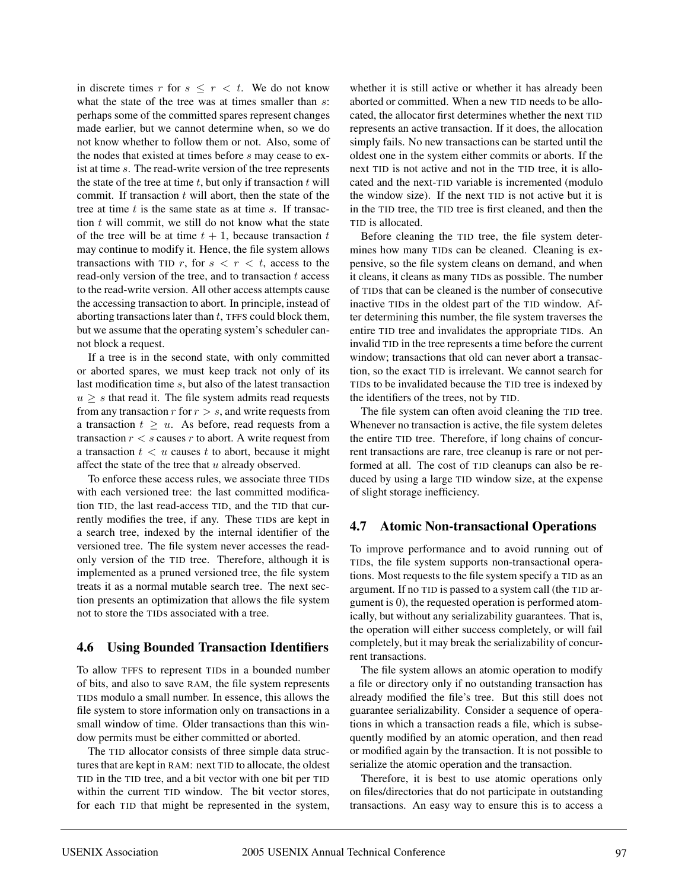in discrete times r for  $s \leq r \leq t$ . We do not know what the state of the tree was at times smaller than s: perhaps some of the committed spares represent changes made earlier, but we cannot determine when, so we do not know whether to follow them or not. Also, some of the nodes that existed at times before s may cease to exist at time s. The read-write version of the tree represents the state of the tree at time  $t$ , but only if transaction  $t$  will commit. If transaction  $t$  will abort, then the state of the tree at time  $t$  is the same state as at time  $s$ . If transaction  $t$  will commit, we still do not know what the state of the tree will be at time  $t + 1$ , because transaction t may continue to modify it. Hence, the file system allows transactions with TID r, for  $s < r < t$ , access to the read-only version of the tree, and to transaction  $t$  access to the read-write version. All other access attempts cause the accessing transaction to abort. In principle, instead of aborting transactions later than  $t$ , TFFS could block them, but we assume that the operating system's scheduler cannot block a request.

If a tree is in the second state, with only committed or aborted spares, we must keep track not only of its last modification time s, but also of the latest transaction  $u > s$  that read it. The file system admits read requests from any transaction  $r$  for  $r>s$ , and write requests from a transaction  $t \geq u$ . As before, read requests from a transaction  $r < s$  causes r to abort. A write request from a transaction  $t < u$  causes t to abort, because it might affect the state of the tree that u already observed.

To enforce these access rules, we associate three TIDs with each versioned tree: the last committed modification TID, the last read-access TID, and the TID that currently modifies the tree, if any. These TIDs are kept in a search tree, indexed by the internal identifier of the versioned tree. The file system never accesses the readonly version of the TID tree. Therefore, although it is implemented as a pruned versioned tree, the file system treats it as a normal mutable search tree. The next section presents an optimization that allows the file system not to store the TIDs associated with a tree.

### **4.6 Using Bounded Transaction Identifiers**

To allow TFFS to represent TIDs in a bounded number of bits, and also to save RAM, the file system represents TIDs modulo a small number. In essence, this allows the file system to store information only on transactions in a small window of time. Older transactions than this window permits must be either committed or aborted.

The TID allocator consists of three simple data structures that are kept in RAM: next TID to allocate, the oldest TID in the TID tree, and a bit vector with one bit per TID within the current TID window. The bit vector stores, for each TID that might be represented in the system,

whether it is still active or whether it has already been aborted or committed. When a new TID needs to be allocated, the allocator first determines whether the next TID represents an active transaction. If it does, the allocation simply fails. No new transactions can be started until the oldest one in the system either commits or aborts. If the next TID is not active and not in the TID tree, it is allocated and the next-TID variable is incremented (modulo the window size). If the next TID is not active but it is in the TID tree, the TID tree is first cleaned, and then the TID is allocated.

Before cleaning the TID tree, the file system determines how many TIDs can be cleaned. Cleaning is expensive, so the file system cleans on demand, and when it cleans, it cleans as many TIDs as possible. The number of TIDs that can be cleaned is the number of consecutive inactive TIDs in the oldest part of the TID window. After determining this number, the file system traverses the entire TID tree and invalidates the appropriate TIDs. An invalid TID in the tree represents a time before the current window; transactions that old can never abort a transaction, so the exact TID is irrelevant. We cannot search for TIDs to be invalidated because the TID tree is indexed by the identifiers of the trees, not by TID.

The file system can often avoid cleaning the TID tree. Whenever no transaction is active, the file system deletes the entire TID tree. Therefore, if long chains of concurrent transactions are rare, tree cleanup is rare or not performed at all. The cost of TID cleanups can also be reduced by using a large TID window size, at the expense of slight storage inefficiency.

#### **4.7 Atomic Non-transactional Operations**

To improve performance and to avoid running out of TIDs, the file system supports non-transactional operations. Most requests to the file system specify a TID as an argument. If no TID is passed to a system call (the TID argument is 0), the requested operation is performed atomically, but without any serializability guarantees. That is, the operation will either success completely, or will fail completely, but it may break the serializability of concurrent transactions.

The file system allows an atomic operation to modify a file or directory only if no outstanding transaction has already modified the file's tree. But this still does not guarantee serializability. Consider a sequence of operations in which a transaction reads a file, which is subsequently modified by an atomic operation, and then read or modified again by the transaction. It is not possible to serialize the atomic operation and the transaction.

Therefore, it is best to use atomic operations only on files/directories that do not participate in outstanding transactions. An easy way to ensure this is to access a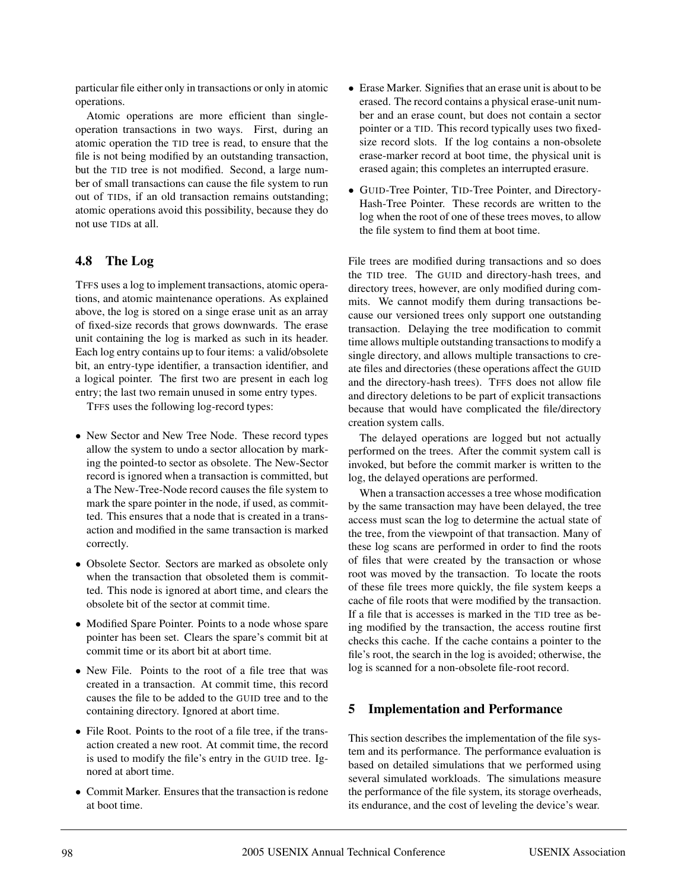particular file either only in transactions or only in atomic operations.

Atomic operations are more efficient than singleoperation transactions in two ways. First, during an atomic operation the TID tree is read, to ensure that the file is not being modified by an outstanding transaction, but the TID tree is not modified. Second, a large number of small transactions can cause the file system to run out of TIDs, if an old transaction remains outstanding; atomic operations avoid this possibility, because they do not use TIDs at all.

# **4.8 The Log**

TFFS uses a log to implement transactions, atomic operations, and atomic maintenance operations. As explained above, the log is stored on a singe erase unit as an array of fixed-size records that grows downwards. The erase unit containing the log is marked as such in its header. Each log entry contains up to four items: a valid/obsolete bit, an entry-type identifier, a transaction identifier, and a logical pointer. The first two are present in each log entry; the last two remain unused in some entry types.

TFFS uses the following log-record types:

- New Sector and New Tree Node. These record types allow the system to undo a sector allocation by marking the pointed-to sector as obsolete. The New-Sector record is ignored when a transaction is committed, but a The New-Tree-Node record causes the file system to mark the spare pointer in the node, if used, as committed. This ensures that a node that is created in a transaction and modified in the same transaction is marked correctly.
- Obsolete Sector. Sectors are marked as obsolete only when the transaction that obsoleted them is committed. This node is ignored at abort time, and clears the obsolete bit of the sector at commit time.
- Modified Spare Pointer. Points to a node whose spare pointer has been set. Clears the spare's commit bit at commit time or its abort bit at abort time.
- New File. Points to the root of a file tree that was created in a transaction. At commit time, this record causes the file to be added to the GUID tree and to the containing directory. Ignored at abort time.
- File Root. Points to the root of a file tree, if the transaction created a new root. At commit time, the record is used to modify the file's entry in the GUID tree. Ignored at abort time.
- Commit Marker. Ensures that the transaction is redone at boot time.
- Erase Marker. Signifies that an erase unit is about to be erased. The record contains a physical erase-unit number and an erase count, but does not contain a sector pointer or a TID. This record typically uses two fixedsize record slots. If the log contains a non-obsolete erase-marker record at boot time, the physical unit is erased again; this completes an interrupted erasure.
- GUID-Tree Pointer, TID-Tree Pointer, and Directory-Hash-Tree Pointer. These records are written to the log when the root of one of these trees moves, to allow the file system to find them at boot time.

File trees are modified during transactions and so does the TID tree. The GUID and directory-hash trees, and directory trees, however, are only modified during commits. We cannot modify them during transactions because our versioned trees only support one outstanding transaction. Delaying the tree modification to commit time allows multiple outstanding transactions to modify a single directory, and allows multiple transactions to create files and directories (these operations affect the GUID and the directory-hash trees). TFFS does not allow file and directory deletions to be part of explicit transactions because that would have complicated the file/directory creation system calls.

The delayed operations are logged but not actually performed on the trees. After the commit system call is invoked, but before the commit marker is written to the log, the delayed operations are performed.

When a transaction accesses a tree whose modification by the same transaction may have been delayed, the tree access must scan the log to determine the actual state of the tree, from the viewpoint of that transaction. Many of these log scans are performed in order to find the roots of files that were created by the transaction or whose root was moved by the transaction. To locate the roots of these file trees more quickly, the file system keeps a cache of file roots that were modified by the transaction. If a file that is accesses is marked in the TID tree as being modified by the transaction, the access routine first checks this cache. If the cache contains a pointer to the file's root, the search in the log is avoided; otherwise, the log is scanned for a non-obsolete file-root record.

### **5 Implementation and Performance**

This section describes the implementation of the file system and its performance. The performance evaluation is based on detailed simulations that we performed using several simulated workloads. The simulations measure the performance of the file system, its storage overheads, its endurance, and the cost of leveling the device's wear.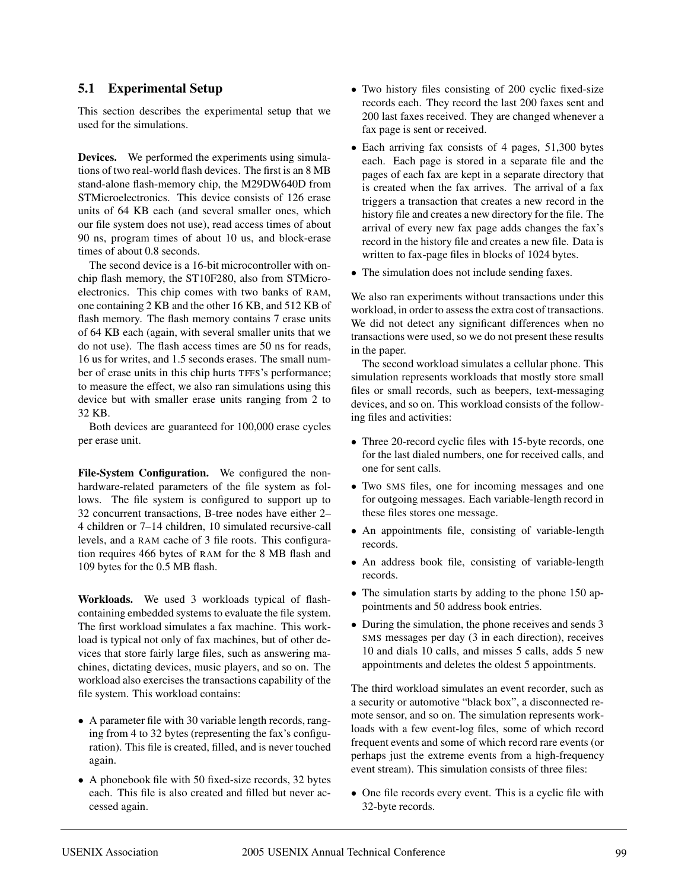### **5.1 Experimental Setup**

This section describes the experimental setup that we used for the simulations.

**Devices.** We performed the experiments using simulations of two real-world flash devices. The first is an 8 MB stand-alone flash-memory chip, the M29DW640D from STMicroelectronics. This device consists of 126 erase units of 64 KB each (and several smaller ones, which our file system does not use), read access times of about 90 ns, program times of about 10 us, and block-erase times of about 0.8 seconds.

The second device is a 16-bit microcontroller with onchip flash memory, the ST10F280, also from STMicroelectronics. This chip comes with two banks of RAM, one containing 2 KB and the other 16 KB, and 512 KB of flash memory. The flash memory contains 7 erase units of 64 KB each (again, with several smaller units that we do not use). The flash access times are 50 ns for reads, 16 us for writes, and 1.5 seconds erases. The small number of erase units in this chip hurts TFFS's performance; to measure the effect, we also ran simulations using this device but with smaller erase units ranging from 2 to 32 KB.

Both devices are guaranteed for 100,000 erase cycles per erase unit.

**File-System Configuration.** We configured the nonhardware-related parameters of the file system as follows. The file system is configured to support up to 32 concurrent transactions, B-tree nodes have either 2– 4 children or 7–14 children, 10 simulated recursive-call levels, and a RAM cache of 3 file roots. This configuration requires 466 bytes of RAM for the 8 MB flash and 109 bytes for the 0.5 MB flash.

**Workloads.** We used 3 workloads typical of flashcontaining embedded systems to evaluate the file system. The first workload simulates a fax machine. This workload is typical not only of fax machines, but of other devices that store fairly large files, such as answering machines, dictating devices, music players, and so on. The workload also exercises the transactions capability of the file system. This workload contains:

- A parameter file with 30 variable length records, ranging from 4 to 32 bytes (representing the fax's configuration). This file is created, filled, and is never touched again.
- A phonebook file with 50 fixed-size records, 32 bytes each. This file is also created and filled but never accessed again.
- Two history files consisting of 200 cyclic fixed-size records each. They record the last 200 faxes sent and 200 last faxes received. They are changed whenever a fax page is sent or received.
- Each arriving fax consists of 4 pages, 51,300 bytes each. Each page is stored in a separate file and the pages of each fax are kept in a separate directory that is created when the fax arrives. The arrival of a fax triggers a transaction that creates a new record in the history file and creates a new directory for the file. The arrival of every new fax page adds changes the fax's record in the history file and creates a new file. Data is written to fax-page files in blocks of 1024 bytes.
- The simulation does not include sending faxes.

We also ran experiments without transactions under this workload, in order to assess the extra cost of transactions. We did not detect any significant differences when no transactions were used, so we do not present these results in the paper.

The second workload simulates a cellular phone. This simulation represents workloads that mostly store small files or small records, such as beepers, text-messaging devices, and so on. This workload consists of the following files and activities:

- Three 20-record cyclic files with 15-byte records, one for the last dialed numbers, one for received calls, and one for sent calls.
- Two SMS files, one for incoming messages and one for outgoing messages. Each variable-length record in these files stores one message.
- An appointments file, consisting of variable-length records.
- An address book file, consisting of variable-length records.
- The simulation starts by adding to the phone 150 appointments and 50 address book entries.
- During the simulation, the phone receives and sends 3 SMS messages per day (3 in each direction), receives 10 and dials 10 calls, and misses 5 calls, adds 5 new appointments and deletes the oldest 5 appointments.

The third workload simulates an event recorder, such as a security or automotive "black box", a disconnected remote sensor, and so on. The simulation represents workloads with a few event-log files, some of which record frequent events and some of which record rare events (or perhaps just the extreme events from a high-frequency event stream). This simulation consists of three files:

• One file records every event. This is a cyclic file with 32-byte records.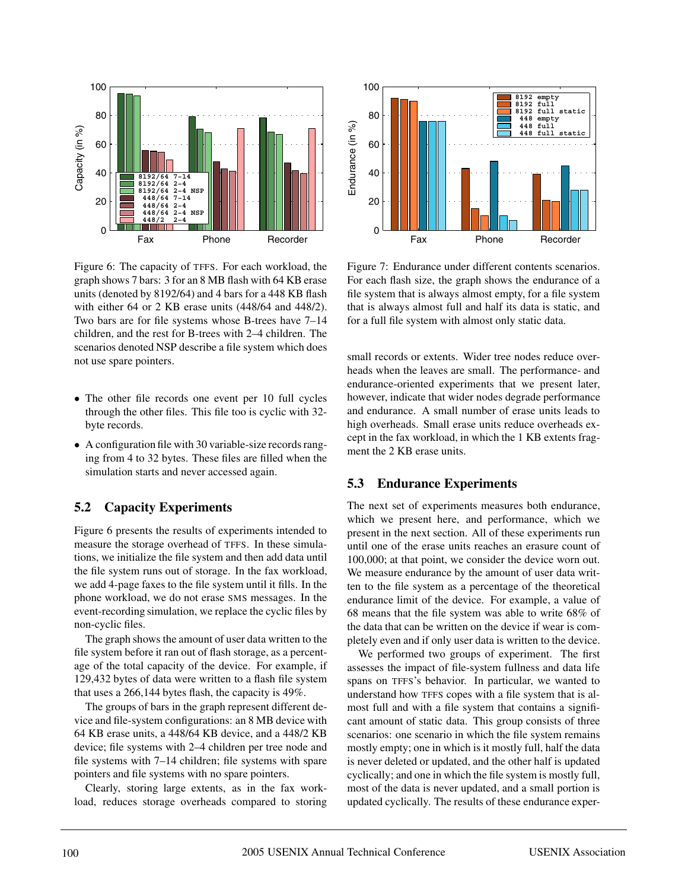

Figure 6: The capacity of TFFS. For each workload, the graph shows 7 bars: 3 for an 8 MB flash with 64 KB erase units (denoted by 8192/64) and 4 bars for a 448 KB flash with either 64 or 2 KB erase units (448/64 and 448/2). Two bars are for file systems whose B-trees have 7–14 children, and the rest for B-trees with 2–4 children. The scenarios denoted NSP describe a file system which does not use spare pointers.

- The other file records one event per 10 full cycles through the other files. This file too is cyclic with 32 byte records.
- A configuration file with 30 variable-size records ranging from 4 to 32 bytes. These files are filled when the simulation starts and never accessed again.

# **5.2 Capacity Experiments**

Figure 6 presents the results of experiments intended to measure the storage overhead of TFFS. In these simulations, we initialize the file system and then add data until the file system runs out of storage. In the fax workload, we add 4-page faxes to the file system until it fills. In the phone workload, we do not erase SMS messages. In the event-recording simulation, we replace the cyclic files by non-cyclic files.

The graph shows the amount of user data written to the file system before it ran out of flash storage, as a percentage of the total capacity of the device. For example, if 129,432 bytes of data were written to a flash file system that uses a 266,144 bytes flash, the capacity is 49%.

The groups of bars in the graph represent different device and file-system configurations: an 8 MB device with 64 KB erase units, a 448/64 KB device, and a 448/2 KB device; file systems with 2–4 children per tree node and file systems with 7–14 children; file systems with spare pointers and file systems with no spare pointers.

Clearly, storing large extents, as in the fax workload, reduces storage overheads compared to storing



Figure 7: Endurance under different contents scenarios. For each flash size, the graph shows the endurance of a file system that is always almost empty, for a file system that is always almost full and half its data is static, and for a full file system with almost only static data.

small records or extents. Wider tree nodes reduce overheads when the leaves are small. The performance- and endurance-oriented experiments that we present later, however, indicate that wider nodes degrade performance and endurance. A small number of erase units leads to high overheads. Small erase units reduce overheads except in the fax workload, in which the 1 KB extents fragment the 2 KB erase units.

### **5.3 Endurance Experiments**

The next set of experiments measures both endurance, which we present here, and performance, which we present in the next section. All of these experiments run until one of the erase units reaches an erasure count of 100,000; at that point, we consider the device worn out. We measure endurance by the amount of user data written to the file system as a percentage of the theoretical endurance limit of the device. For example, a value of 68 means that the file system was able to write 68% of the data that can be written on the device if wear is completely even and if only user data is written to the device.

We performed two groups of experiment. The first assesses the impact of file-system fullness and data life spans on TFFS's behavior. In particular, we wanted to understand how TFFS copes with a file system that is almost full and with a file system that contains a significant amount of static data. This group consists of three scenarios: one scenario in which the file system remains mostly empty; one in which is it mostly full, half the data is never deleted or updated, and the other half is updated cyclically; and one in which the file system is mostly full, most of the data is never updated, and a small portion is updated cyclically. The results of these endurance exper-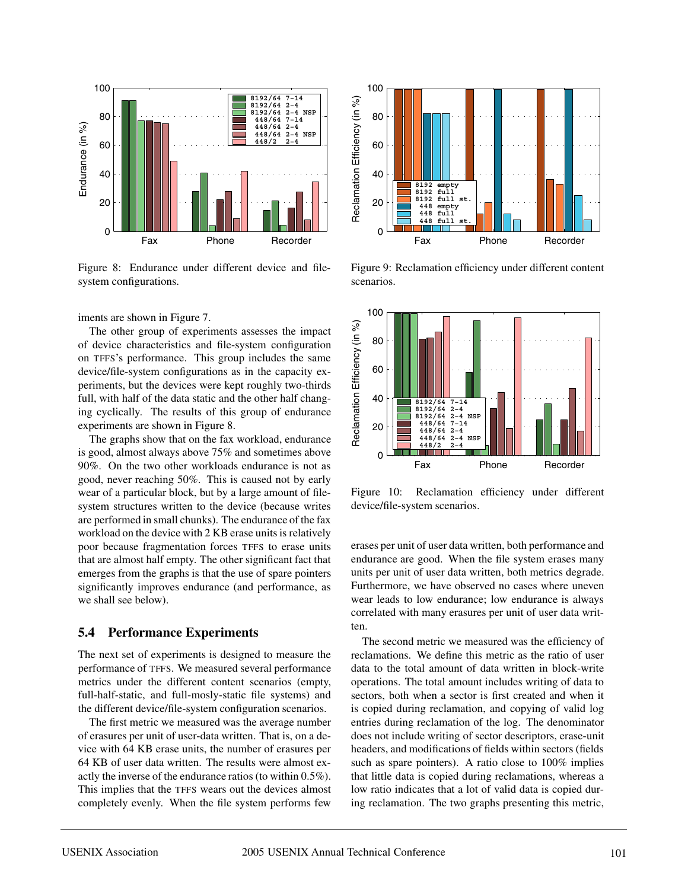

Figure 8: Endurance under different device and filesystem configurations.

iments are shown in Figure 7.

The other group of experiments assesses the impact of device characteristics and file-system configuration on TFFS's performance. This group includes the same device/file-system configurations as in the capacity experiments, but the devices were kept roughly two-thirds full, with half of the data static and the other half changing cyclically. The results of this group of endurance experiments are shown in Figure 8.

The graphs show that on the fax workload, endurance is good, almost always above 75% and sometimes above 90%. On the two other workloads endurance is not as good, never reaching 50%. This is caused not by early wear of a particular block, but by a large amount of filesystem structures written to the device (because writes are performed in small chunks). The endurance of the fax workload on the device with 2 KB erase units is relatively poor because fragmentation forces TFFS to erase units that are almost half empty. The other significant fact that emerges from the graphs is that the use of spare pointers significantly improves endurance (and performance, as we shall see below).

#### **5.4 Performance Experiments**

The next set of experiments is designed to measure the performance of TFFS. We measured several performance metrics under the different content scenarios (empty, full-half-static, and full-mosly-static file systems) and the different device/file-system configuration scenarios.

The first metric we measured was the average number of erasures per unit of user-data written. That is, on a device with 64 KB erase units, the number of erasures per 64 KB of user data written. The results were almost exactly the inverse of the endurance ratios (to within 0.5%). This implies that the TFFS wears out the devices almost completely evenly. When the file system performs few



Figure 9: Reclamation efficiency under different content scenarios.



Figure 10: Reclamation efficiency under different device/file-system scenarios.

erases per unit of user data written, both performance and endurance are good. When the file system erases many units per unit of user data written, both metrics degrade. Furthermore, we have observed no cases where uneven wear leads to low endurance; low endurance is always correlated with many erasures per unit of user data written.

The second metric we measured was the efficiency of reclamations. We define this metric as the ratio of user data to the total amount of data written in block-write operations. The total amount includes writing of data to sectors, both when a sector is first created and when it is copied during reclamation, and copying of valid log entries during reclamation of the log. The denominator does not include writing of sector descriptors, erase-unit headers, and modifications of fields within sectors (fields such as spare pointers). A ratio close to 100% implies that little data is copied during reclamations, whereas a low ratio indicates that a lot of valid data is copied during reclamation. The two graphs presenting this metric,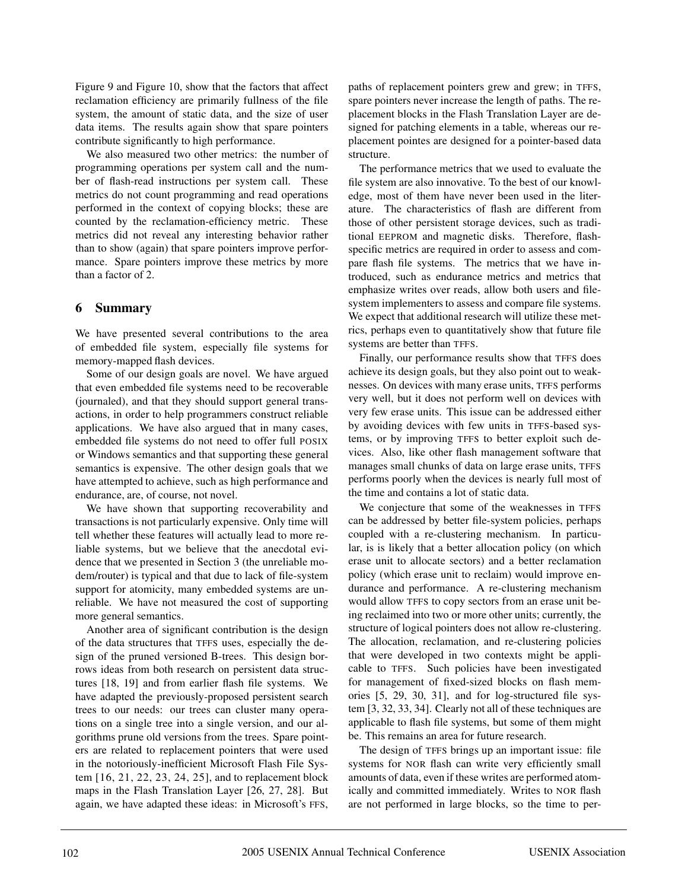Figure 9 and Figure 10, show that the factors that affect reclamation efficiency are primarily fullness of the file system, the amount of static data, and the size of user data items. The results again show that spare pointers contribute significantly to high performance.

We also measured two other metrics: the number of programming operations per system call and the number of flash-read instructions per system call. These metrics do not count programming and read operations performed in the context of copying blocks; these are counted by the reclamation-efficiency metric. These metrics did not reveal any interesting behavior rather than to show (again) that spare pointers improve performance. Spare pointers improve these metrics by more than a factor of 2.

# **6 Summary**

We have presented several contributions to the area of embedded file system, especially file systems for memory-mapped flash devices.

Some of our design goals are novel. We have argued that even embedded file systems need to be recoverable (journaled), and that they should support general transactions, in order to help programmers construct reliable applications. We have also argued that in many cases, embedded file systems do not need to offer full POSIX or Windows semantics and that supporting these general semantics is expensive. The other design goals that we have attempted to achieve, such as high performance and endurance, are, of course, not novel.

We have shown that supporting recoverability and transactions is not particularly expensive. Only time will tell whether these features will actually lead to more reliable systems, but we believe that the anecdotal evidence that we presented in Section 3 (the unreliable modem/router) is typical and that due to lack of file-system support for atomicity, many embedded systems are unreliable. We have not measured the cost of supporting more general semantics.

Another area of significant contribution is the design of the data structures that TFFS uses, especially the design of the pruned versioned B-trees. This design borrows ideas from both research on persistent data structures [18, 19] and from earlier flash file systems. We have adapted the previously-proposed persistent search trees to our needs: our trees can cluster many operations on a single tree into a single version, and our algorithms prune old versions from the trees. Spare pointers are related to replacement pointers that were used in the notoriously-inefficient Microsoft Flash File System [16, 21, 22, 23, 24, 25], and to replacement block maps in the Flash Translation Layer [26, 27, 28]. But again, we have adapted these ideas: in Microsoft's FFS,

paths of replacement pointers grew and grew; in TFFS, spare pointers never increase the length of paths. The replacement blocks in the Flash Translation Layer are designed for patching elements in a table, whereas our replacement pointes are designed for a pointer-based data structure.

The performance metrics that we used to evaluate the file system are also innovative. To the best of our knowledge, most of them have never been used in the literature. The characteristics of flash are different from those of other persistent storage devices, such as traditional EEPROM and magnetic disks. Therefore, flashspecific metrics are required in order to assess and compare flash file systems. The metrics that we have introduced, such as endurance metrics and metrics that emphasize writes over reads, allow both users and filesystem implementers to assess and compare file systems. We expect that additional research will utilize these metrics, perhaps even to quantitatively show that future file systems are better than TFFS.

Finally, our performance results show that TFFS does achieve its design goals, but they also point out to weaknesses. On devices with many erase units, TFFS performs very well, but it does not perform well on devices with very few erase units. This issue can be addressed either by avoiding devices with few units in TFFS-based systems, or by improving TFFS to better exploit such devices. Also, like other flash management software that manages small chunks of data on large erase units, TFFS performs poorly when the devices is nearly full most of the time and contains a lot of static data.

We conjecture that some of the weaknesses in TFFS can be addressed by better file-system policies, perhaps coupled with a re-clustering mechanism. In particular, is is likely that a better allocation policy (on which erase unit to allocate sectors) and a better reclamation policy (which erase unit to reclaim) would improve endurance and performance. A re-clustering mechanism would allow TFFS to copy sectors from an erase unit being reclaimed into two or more other units; currently, the structure of logical pointers does not allow re-clustering. The allocation, reclamation, and re-clustering policies that were developed in two contexts might be applicable to TFFS. Such policies have been investigated for management of fixed-sized blocks on flash memories [5, 29, 30, 31], and for log-structured file system [3, 32, 33, 34]. Clearly not all of these techniques are applicable to flash file systems, but some of them might be. This remains an area for future research.

The design of TFFS brings up an important issue: file systems for NOR flash can write very efficiently small amounts of data, even if these writes are performed atomically and committed immediately. Writes to NOR flash are not performed in large blocks, so the time to per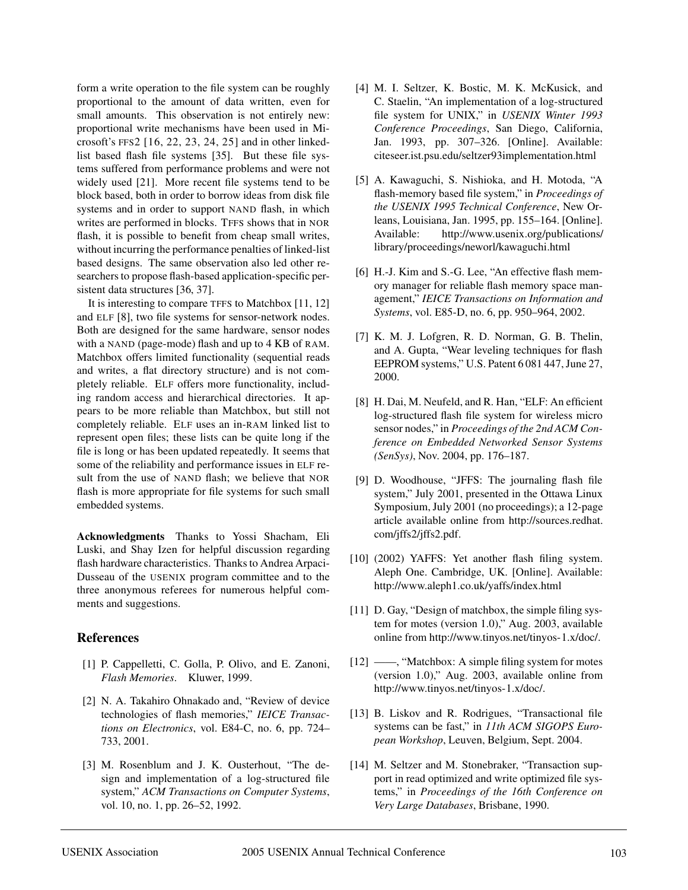form a write operation to the file system can be roughly proportional to the amount of data written, even for small amounts. This observation is not entirely new: proportional write mechanisms have been used in Microsoft's FFS2 [16, 22, 23, 24, 25] and in other linkedlist based flash file systems [35]. But these file systems suffered from performance problems and were not widely used [21]. More recent file systems tend to be block based, both in order to borrow ideas from disk file systems and in order to support NAND flash, in which writes are performed in blocks. TFFS shows that in NOR flash, it is possible to benefit from cheap small writes, without incurring the performance penalties of linked-list based designs. The same observation also led other researchers to propose flash-based application-specific persistent data structures [36, 37].

It is interesting to compare TFFS to Matchbox [11, 12] and ELF [8], two file systems for sensor-network nodes. Both are designed for the same hardware, sensor nodes with a NAND (page-mode) flash and up to 4 KB of RAM. Matchbox offers limited functionality (sequential reads and writes, a flat directory structure) and is not completely reliable. ELF offers more functionality, including random access and hierarchical directories. It appears to be more reliable than Matchbox, but still not completely reliable. ELF uses an in-RAM linked list to represent open files; these lists can be quite long if the file is long or has been updated repeatedly. It seems that some of the reliability and performance issues in ELF result from the use of NAND flash; we believe that NOR flash is more appropriate for file systems for such small embedded systems.

**Acknowledgments** Thanks to Yossi Shacham, Eli Luski, and Shay Izen for helpful discussion regarding flash hardware characteristics. Thanks to Andrea Arpaci-Dusseau of the USENIX program committee and to the three anonymous referees for numerous helpful comments and suggestions.

#### **References**

- [1] P. Cappelletti, C. Golla, P. Olivo, and E. Zanoni, *Flash Memories*. Kluwer, 1999.
- [2] N. A. Takahiro Ohnakado and, "Review of device technologies of flash memories," *IEICE Transactions on Electronics*, vol. E84-C, no. 6, pp. 724– 733, 2001.
- [3] M. Rosenblum and J. K. Ousterhout, "The design and implementation of a log-structured file system," *ACM Transactions on Computer Systems*, vol. 10, no. 1, pp. 26–52, 1992.
- [4] M. I. Seltzer, K. Bostic, M. K. McKusick, and C. Staelin, "An implementation of a log-structured file system for UNIX," in *USENIX Winter 1993 Conference Proceedings*, San Diego, California, Jan. 1993, pp. 307–326. [Online]. Available: citeseer.ist.psu.edu/seltzer93implementation.html
- [5] A. Kawaguchi, S. Nishioka, and H. Motoda, "A flash-memory based file system," in *Proceedings of the USENIX 1995 Technical Conference*, New Orleans, Louisiana, Jan. 1995, pp. 155–164. [Online]. Available: http://www.usenix.org/publications/ library/proceedings/neworl/kawaguchi.html
- [6] H.-J. Kim and S.-G. Lee, "An effective flash memory manager for reliable flash memory space management," *IEICE Transactions on Information and Systems*, vol. E85-D, no. 6, pp. 950–964, 2002.
- [7] K. M. J. Lofgren, R. D. Norman, G. B. Thelin, and A. Gupta, "Wear leveling techniques for flash EEPROM systems," U.S. Patent 6 081 447, June 27, 2000.
- [8] H. Dai, M. Neufeld, and R. Han, "ELF: An efficient log-structured flash file system for wireless micro sensor nodes," in *Proceedings of the 2nd ACM Conference on Embedded Networked Sensor Systems (SenSys)*, Nov. 2004, pp. 176–187.
- [9] D. Woodhouse, "JFFS: The journaling flash file system," July 2001, presented in the Ottawa Linux Symposium, July 2001 (no proceedings); a 12-page article available online from http://sources.redhat. com/jffs2/jffs2.pdf.
- [10] (2002) YAFFS: Yet another flash filing system. Aleph One. Cambridge, UK. [Online]. Available: http://www.aleph1.co.uk/yaffs/index.html
- [11] D. Gay, "Design of matchbox, the simple filing system for motes (version 1.0)," Aug. 2003, available online from http://www.tinyos.net/tinyos-1.x/doc/.
- [12] ——, "Matchbox: A simple filing system for motes (version 1.0)," Aug. 2003, available online from http://www.tinyos.net/tinyos-1.x/doc/.
- [13] B. Liskov and R. Rodrigues, "Transactional file systems can be fast," in *11th ACM SIGOPS European Workshop*, Leuven, Belgium, Sept. 2004.
- [14] M. Seltzer and M. Stonebraker, "Transaction support in read optimized and write optimized file systems," in *Proceedings of the 16th Conference on Very Large Databases*, Brisbane, 1990.